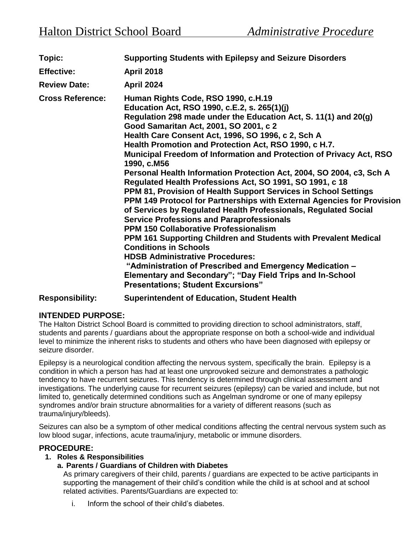| Topic:                  | <b>Supporting Students with Epilepsy and Seizure Disorders</b>                                                                                                                                                                                                                                                                                                                                                                                                                                                                                                                                                                                                                                                                                                                                                                                                                                                                                                                                                                                                                                                                                                                   |
|-------------------------|----------------------------------------------------------------------------------------------------------------------------------------------------------------------------------------------------------------------------------------------------------------------------------------------------------------------------------------------------------------------------------------------------------------------------------------------------------------------------------------------------------------------------------------------------------------------------------------------------------------------------------------------------------------------------------------------------------------------------------------------------------------------------------------------------------------------------------------------------------------------------------------------------------------------------------------------------------------------------------------------------------------------------------------------------------------------------------------------------------------------------------------------------------------------------------|
| <b>Effective:</b>       | <b>April 2018</b>                                                                                                                                                                                                                                                                                                                                                                                                                                                                                                                                                                                                                                                                                                                                                                                                                                                                                                                                                                                                                                                                                                                                                                |
| <b>Review Date:</b>     | <b>April 2024</b>                                                                                                                                                                                                                                                                                                                                                                                                                                                                                                                                                                                                                                                                                                                                                                                                                                                                                                                                                                                                                                                                                                                                                                |
| <b>Cross Reference:</b> | Human Rights Code, RSO 1990, c.H.19<br>Education Act, RSO 1990, c.E.2, s. 265(1)(j)<br>Regulation 298 made under the Education Act, S. 11(1) and 20(g)<br>Good Samaritan Act, 2001, SO 2001, c 2<br>Health Care Consent Act, 1996, SO 1996, c 2, Sch A<br>Health Promotion and Protection Act, RSO 1990, c H.7.<br>Municipal Freedom of Information and Protection of Privacy Act, RSO<br>1990, c.M56<br>Personal Health Information Protection Act, 2004, SO 2004, c3, Sch A<br>Regulated Health Professions Act, SO 1991, SO 1991, c 18<br>PPM 81, Provision of Health Support Services in School Settings<br>PPM 149 Protocol for Partnerships with External Agencies for Provision<br>of Services by Regulated Health Professionals, Regulated Social<br><b>Service Professions and Paraprofessionals</b><br><b>PPM 150 Collaborative Professionalism</b><br>PPM 161 Supporting Children and Students with Prevalent Medical<br><b>Conditions in Schools</b><br><b>HDSB Administrative Procedures:</b><br>"Administration of Prescribed and Emergency Medication -<br>Elementary and Secondary"; "Day Field Trips and In-School<br><b>Presentations; Student Excursions"</b> |

# **Responsibility: Superintendent of Education, Student Health**

# **INTENDED PURPOSE:**

The Halton District School Board is committed to providing direction to school administrators, staff, students and parents / guardians about the appropriate response on both a school-wide and individual level to minimize the inherent risks to students and others who have been diagnosed with epilepsy or seizure disorder.

Epilepsy is a neurological condition affecting the nervous system, specifically the brain. Epilepsy is a condition in which a person has had at least one unprovoked seizure and demonstrates a pathologic tendency to have recurrent seizures. This tendency is determined through clinical assessment and investigations. The underlying cause for recurrent seizures (epilepsy) can be varied and include, but not limited to, genetically determined conditions such as Angelman syndrome or one of many epilepsy syndromes and/or brain structure abnormalities for a variety of different reasons (such as trauma/injury/bleeds).

Seizures can also be a symptom of other medical conditions affecting the central nervous system such as low blood sugar, infections, acute trauma/injury, metabolic or immune disorders.

# **PROCEDURE:**

# **1. Roles & Responsibilities**

# **a. Parents / Guardians of Children with Diabetes**

As primary caregivers of their child, parents / guardians are expected to be active participants in supporting the management of their child's condition while the child is at school and at school related activities. Parents/Guardians are expected to:

i. Inform the school of their child's diabetes.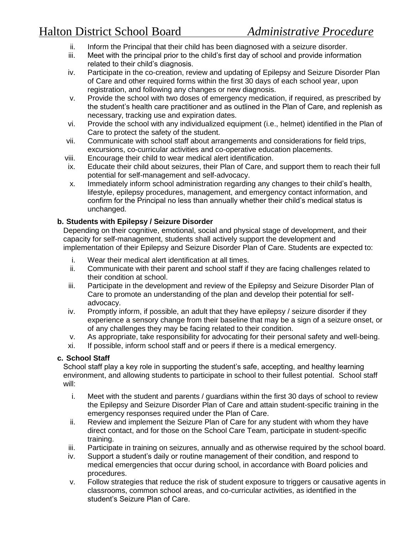- ii. Inform the Principal that their child has been diagnosed with a seizure disorder.
- iii. Meet with the principal prior to the child's first day of school and provide information related to their child's diagnosis.
- iv. Participate in the co-creation, review and updating of Epilepsy and Seizure Disorder Plan of Care and other required forms within the first 30 days of each school year, upon registration, and following any changes or new diagnosis.
- v. Provide the school with two doses of emergency medication, if required, as prescribed by the student's health care practitioner and as outlined in the Plan of Care, and replenish as necessary, tracking use and expiration dates.
- vi. Provide the school with any individualized equipment (i.e., helmet) identified in the Plan of Care to protect the safety of the student.
- vii. Communicate with school staff about arrangements and considerations for field trips, excursions, co-curricular activities and co-operative education placements.
- viii. Encourage their child to wear medical alert identification.
- ix. Educate their child about seizures, their Plan of Care, and support them to reach their full potential for self-management and self-advocacy.
- x. Immediately inform school administration regarding any changes to their child's health, lifestyle, epilepsy procedures, management, and emergency contact information, and confirm for the Principal no less than annually whether their child's medical status is unchanged.

# **b. Students with Epilepsy / Seizure Disorder**

Depending on their cognitive, emotional, social and physical stage of development, and their capacity for self-management, students shall actively support the development and implementation of their Epilepsy and Seizure Disorder Plan of Care. Students are expected to:

- i. Wear their medical alert identification at all times.
- ii. Communicate with their parent and school staff if they are facing challenges related to their condition at school.
- iii. Participate in the development and review of the Epilepsy and Seizure Disorder Plan of Care to promote an understanding of the plan and develop their potential for selfadvocacy.
- iv. Promptly inform, if possible, an adult that they have epilepsy / seizure disorder if they experience a sensory change from their baseline that may be a sign of a seizure onset, or of any challenges they may be facing related to their condition.
- v. As appropriate, take responsibility for advocating for their personal safety and well-being.
- xi. If possible, inform school staff and or peers if there is a medical emergency.

# **c. School Staff**

School staff play a key role in supporting the student's safe, accepting, and healthy learning environment, and allowing students to participate in school to their fullest potential. School staff will:

- i. Meet with the student and parents / guardians within the first 30 days of school to review the Epilepsy and Seizure Disorder Plan of Care and attain student-specific training in the emergency responses required under the Plan of Care.
- ii. Review and implement the Seizure Plan of Care for any student with whom they have direct contact, and for those on the School Care Team, participate in student-specific training.
- iii. Participate in training on seizures, annually and as otherwise required by the school board.
- iv. Support a student's daily or routine management of their condition, and respond to medical emergencies that occur during school, in accordance with Board policies and procedures.
- v. Follow strategies that reduce the risk of student exposure to triggers or causative agents in classrooms, common school areas, and co-curricular activities, as identified in the student's Seizure Plan of Care.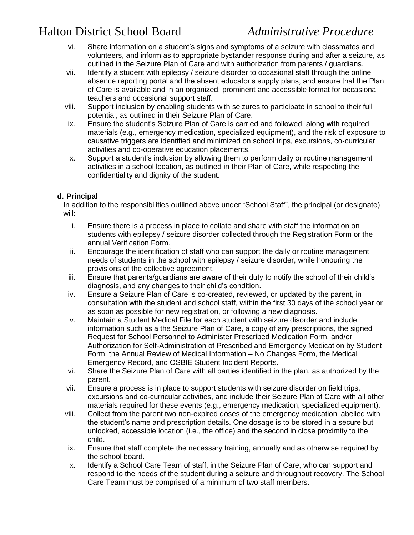- vi. Share information on a student's signs and symptoms of a seizure with classmates and volunteers, and inform as to appropriate bystander response during and after a seizure, as outlined in the Seizure Plan of Care and with authorization from parents / guardians.
- vii. Identify a student with epilepsy / seizure disorder to occasional staff through the online absence reporting portal and the absent educator's supply plans, and ensure that the Plan of Care is available and in an organized, prominent and accessible format for occasional teachers and occasional support staff.
- viii. Support inclusion by enabling students with seizures to participate in school to their full potential, as outlined in their Seizure Plan of Care.
- ix. Ensure the student's Seizure Plan of Care is carried and followed, along with required materials (e.g., emergency medication, specialized equipment), and the risk of exposure to causative triggers are identified and minimized on school trips, excursions, co-curricular activities and co-operative education placements.
- x. Support a student's inclusion by allowing them to perform daily or routine management activities in a school location, as outlined in their Plan of Care, while respecting the confidentiality and dignity of the student.

# **d. Principal**

In addition to the responsibilities outlined above under "School Staff", the principal (or designate) will:

- i. Ensure there is a process in place to collate and share with staff the information on students with epilepsy / seizure disorder collected through the Registration Form or the annual Verification Form.
- ii. Encourage the identification of staff who can support the daily or routine management needs of students in the school with epilepsy / seizure disorder, while honouring the provisions of the collective agreement.
- iii. Ensure that parents/guardians are aware of their duty to notify the school of their child's diagnosis, and any changes to their child's condition.
- iv. Ensure a Seizure Plan of Care is co-created, reviewed, or updated by the parent, in consultation with the student and school staff, within the first 30 days of the school year or as soon as possible for new registration, or following a new diagnosis.
- v. Maintain a Student Medical File for each student with seizure disorder and include information such as a the Seizure Plan of Care, a copy of any prescriptions, the signed Request for School Personnel to Administer Prescribed Medication Form, and/or Authorization for Self-Administration of Prescribed and Emergency Medication by Student Form, the Annual Review of Medical Information – No Changes Form, the Medical Emergency Record, and OSBIE Student Incident Reports.
- vi. Share the Seizure Plan of Care with all parties identified in the plan, as authorized by the parent.
- vii. Ensure a process is in place to support students with seizure disorder on field trips, excursions and co-curricular activities, and include their Seizure Plan of Care with all other materials required for these events (e.g., emergency medication, specialized equipment).
- viii. Collect from the parent two non-expired doses of the emergency medication labelled with the student's name and prescription details. One dosage is to be stored in a secure but unlocked, accessible location (i.e., the office) and the second in close proximity to the child.
- ix. Ensure that staff complete the necessary training, annually and as otherwise required by the school board.
- x. Identify a School Care Team of staff, in the Seizure Plan of Care, who can support and respond to the needs of the student during a seizure and throughout recovery. The School Care Team must be comprised of a minimum of two staff members.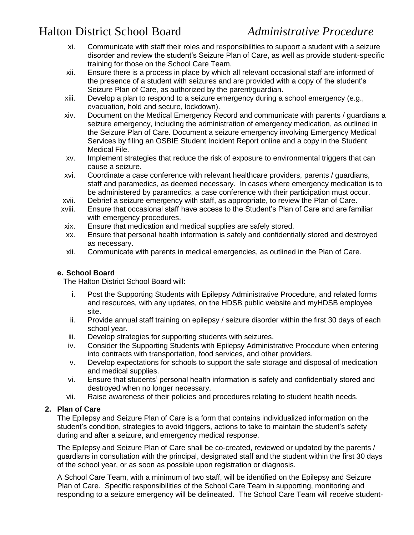- xi. Communicate with staff their roles and responsibilities to support a student with a seizure disorder and review the student's Seizure Plan of Care, as well as provide student-specific training for those on the School Care Team.
- xii. Ensure there is a process in place by which all relevant occasional staff are informed of the presence of a student with seizures and are provided with a copy of the student's Seizure Plan of Care, as authorized by the parent/guardian.
- xiii. Develop a plan to respond to a seizure emergency during a school emergency (e.g., evacuation, hold and secure, lockdown).
- xiv. Document on the Medical Emergency Record and communicate with parents / guardians a seizure emergency, including the administration of emergency medication, as outlined in the Seizure Plan of Care. Document a seizure emergency involving Emergency Medical Services by filing an OSBIE Student Incident Report online and a copy in the Student Medical File.
- xv. Implement strategies that reduce the risk of exposure to environmental triggers that can cause a seizure.
- xvi. Coordinate a case conference with relevant healthcare providers, parents / guardians, staff and paramedics, as deemed necessary. In cases where emergency medication is to be administered by paramedics, a case conference with their participation must occur.
- xvii. Debrief a seizure emergency with staff, as appropriate, to review the Plan of Care.
- xviii. Ensure that occasional staff have access to the Student's Plan of Care and are familiar with emergency procedures.
- xix. Ensure that medication and medical supplies are safely stored.
- xx. Ensure that personal health information is safely and confidentially stored and destroyed as necessary.
- xii. Communicate with parents in medical emergencies, as outlined in the Plan of Care.

#### **e. School Board**

The Halton District School Board will:

- i. Post the Supporting Students with Epilepsy Administrative Procedure, and related forms and resources, with any updates, on the HDSB public website and myHDSB employee site.
- ii. Provide annual staff training on epilepsy / seizure disorder within the first 30 days of each school year.
- iii. Develop strategies for supporting students with seizures.
- iv. Consider the Supporting Students with Epilepsy Administrative Procedure when entering into contracts with transportation, food services, and other providers.
- v. Develop expectations for schools to support the safe storage and disposal of medication and medical supplies.
- vi. Ensure that students' personal health information is safely and confidentially stored and destroyed when no longer necessary.
- vii. Raise awareness of their policies and procedures relating to student health needs.

#### **2. Plan of Care**

The Epilepsy and Seizure Plan of Care is a form that contains individualized information on the student's condition, strategies to avoid triggers, actions to take to maintain the student's safety during and after a seizure, and emergency medical response.

The Epilepsy and Seizure Plan of Care shall be co-created, reviewed or updated by the parents / guardians in consultation with the principal, designated staff and the student within the first 30 days of the school year, or as soon as possible upon registration or diagnosis.

A School Care Team, with a minimum of two staff, will be identified on the Epilepsy and Seizure Plan of Care. Specific responsibilities of the School Care Team in supporting, monitoring and responding to a seizure emergency will be delineated. The School Care Team will receive student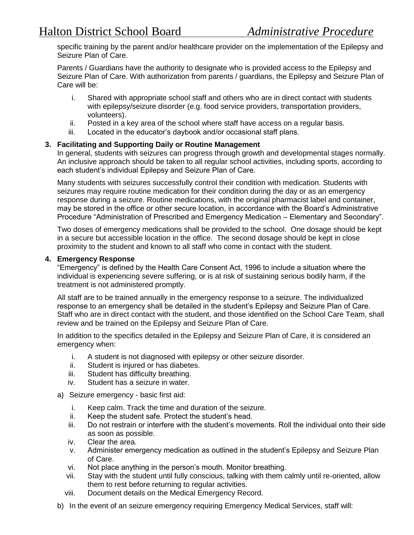specific training by the parent and/or healthcare provider on the implementation of the Epilepsy and Seizure Plan of Care.

Parents / Guardians have the authority to designate who is provided access to the Epilepsy and Seizure Plan of Care. With authorization from parents / guardians, the Epilepsy and Seizure Plan of Care will be:

- i. Shared with appropriate school staff and others who are in direct contact with students with epilepsy/seizure disorder (e.g. food service providers, transportation providers, volunteers).
- ii. Posted in a key area of the school where staff have access on a regular basis.
- iii. Located in the educator's daybook and/or occasional staff plans.

#### **3. Facilitating and Supporting Daily or Routine Management**

In general, students with seizures can progress through growth and developmental stages normally. An inclusive approach should be taken to all regular school activities, including sports, according to each student's individual Epilepsy and Seizure Plan of Care.

Many students with seizures successfully control their condition with medication. Students with seizures may require routine medication for their condition during the day or as an emergency response during a seizure. Routine medications, with the original pharmacist label and container, may be stored in the office or other secure location, in accordance with the Board's Administrative Procedure "Administration of Prescribed and Emergency Medication – Elementary and Secondary".

Two doses of emergency medications shall be provided to the school. One dosage should be kept in a secure but accessible location in the office. The second dosage should be kept in close proximity to the student and known to all staff who come in contact with the student.

#### **4. Emergency Response**

"Emergency" is defined by the Health Care Consent Act, 1996 to include a situation where the individual is experiencing severe suffering, or is at risk of sustaining serious bodily harm, if the treatment is not administered promptly.

All staff are to be trained annually in the emergency response to a seizure. The individualized response to an emergency shall be detailed in the student's Epilepsy and Seizure Plan of Care. Staff who are in direct contact with the student, and those identified on the School Care Team, shall review and be trained on the Epilepsy and Seizure Plan of Care.

In addition to the specifics detailed in the Epilepsy and Seizure Plan of Care, it is considered an emergency when:

- i. A student is not diagnosed with epilepsy or other seizure disorder.
- ii. Student is injured or has diabetes.
- iii. Student has difficulty breathing.
- iv. Student has a seizure in water.
- a) Seizure emergency basic first aid:
	- i. Keep calm. Track the time and duration of the seizure.
	- ii. Keep the student safe. Protect the student's head.
	- iii. Do not restrain or interfere with the student's movements. Roll the individual onto their side as soon as possible.
	- iv. Clear the area.
	- v. Administer emergency medication as outlined in the student's Epilepsy and Seizure Plan of Care.
	- vi. Not place anything in the person's mouth. Monitor breathing.
	- vii. Stay with the student until fully conscious, talking with them calmly until re-oriented, allow them to rest before returning to regular activities.
	- viii. Document details on the Medical Emergency Record.
- b) In the event of an seizure emergency requiring Emergency Medical Services, staff will: